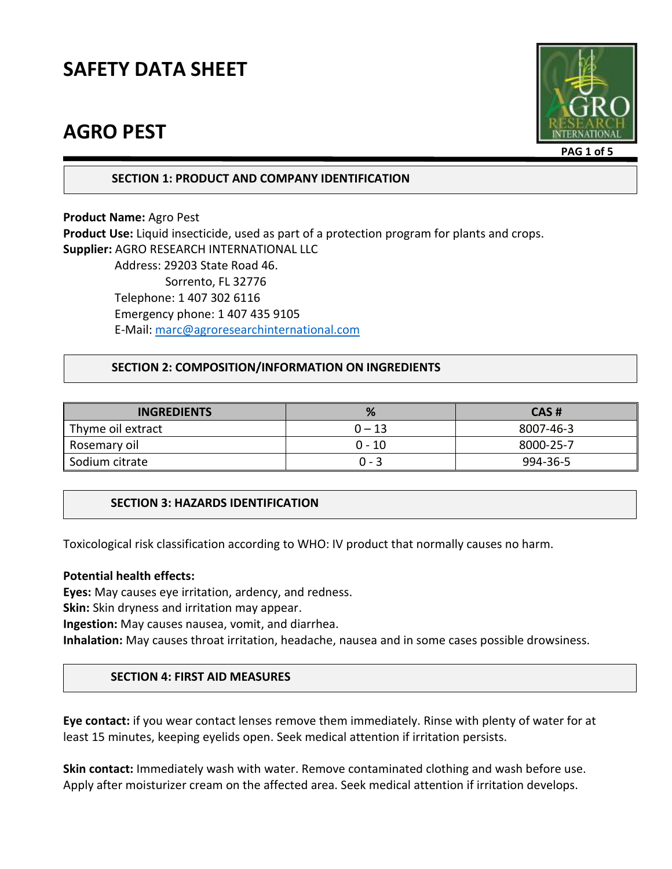## **AGRO PEST**



**PAG 1 of 5**

**SECTION 1: PRODUCT AND COMPANY IDENTIFICATION**

**Product Name:** Agro Pest **Product Use:** Liquid insecticide, used as part of a protection program for plants and crops. **Supplier:** AGRO RESEARCH INTERNATIONAL LLC Address: 29203 State Road 46.

 Sorrento, FL 32776 Telephone: 1 407 302 6116 Emergency phone: 1 407 435 9105 E-Mail: [marc@agroresearchinternational.com](mailto:marc@agroresearchinternational.com)

#### **SECTION 2: COMPOSITION/INFORMATION ON INGREDIENTS**

| <b>INGREDIENTS</b> | %        | CAS#      |
|--------------------|----------|-----------|
| Thyme oil extract  | $0 - 13$ | 8007-46-3 |
| Rosemary oil       | 0 - 10   | 8000-25-7 |
| Sodium citrate     | $0 - 3$  | 994-36-5  |

## **SECTION 3: HAZARDS IDENTIFICATION**

Toxicological risk classification according to WHO: IV product that normally causes no harm.

#### **Potential health effects:**

**Eyes:** May causes eye irritation, ardency, and redness.

**Skin:** Skin dryness and irritation may appear.

**Ingestion:** May causes nausea, vomit, and diarrhea.

**Inhalation:** May causes throat irritation, headache, nausea and in some cases possible drowsiness.

#### **SECTION 4: FIRST AID MEASURES**

**Eye contact:** if you wear contact lenses remove them immediately. Rinse with plenty of water for at least 15 minutes, keeping eyelids open. Seek medical attention if irritation persists.

**Skin contact:** Immediately wash with water. Remove contaminated clothing and wash before use. Apply after moisturizer cream on the affected area. Seek medical attention if irritation develops.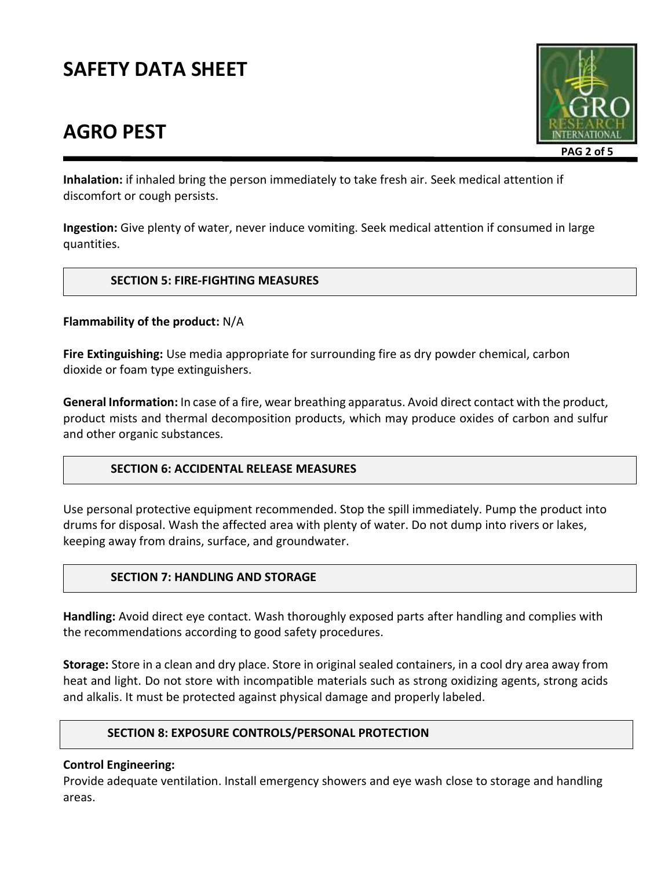# **AGRO PEST**



**Inhalation:** if inhaled bring the person immediately to take fresh air. Seek medical attention if discomfort or cough persists.

**Ingestion:** Give plenty of water, never induce vomiting. Seek medical attention if consumed in large quantities.

#### **SECTION 5: FIRE-FIGHTING MEASURES**

#### **Flammability of the product:** N/A

**Fire Extinguishing:** Use media appropriate for surrounding fire as dry powder chemical, carbon dioxide or foam type extinguishers.

**General Information:** In case of a fire, wear breathing apparatus. Avoid direct contact with the product, product mists and thermal decomposition products, which may produce oxides of carbon and sulfur and other organic substances.

## **SECTION 6: ACCIDENTAL RELEASE MEASURES**

Use personal protective equipment recommended. Stop the spill immediately. Pump the product into drums for disposal. Wash the affected area with plenty of water. Do not dump into rivers or lakes, keeping away from drains, surface, and groundwater.

## **SECTION 7: HANDLING AND STORAGE**

**Handling:** Avoid direct eye contact. Wash thoroughly exposed parts after handling and complies with the recommendations according to good safety procedures.

**Storage:** Store in a clean and dry place. Store in original sealed containers, in a cool dry area away from heat and light. Do not store with incompatible materials such as strong oxidizing agents, strong acids and alkalis. It must be protected against physical damage and properly labeled.

#### **SECTION 8: EXPOSURE CONTROLS/PERSONAL PROTECTION**

#### **Control Engineering:**

Provide adequate ventilation. Install emergency showers and eye wash close to storage and handling areas.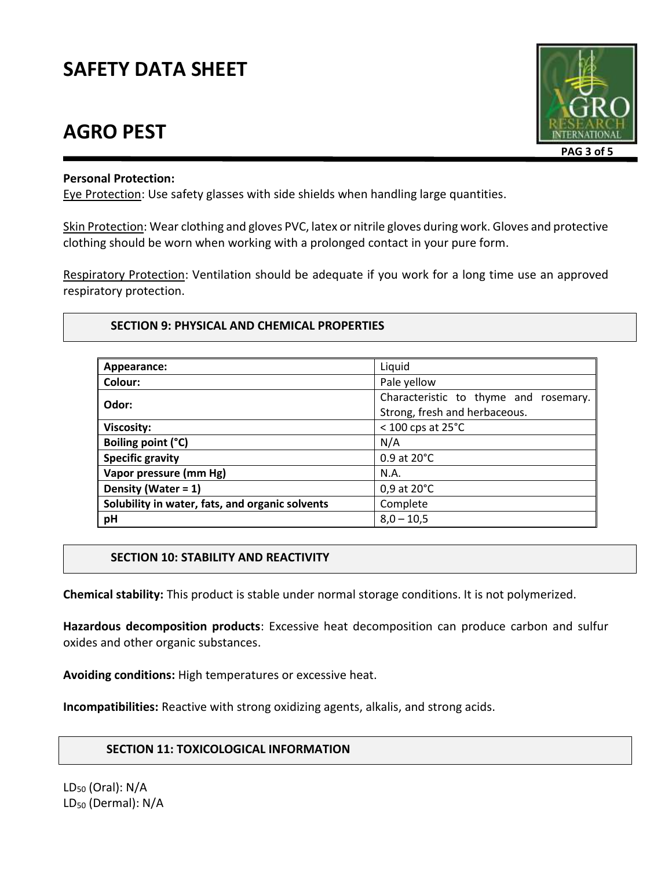## **AGRO PEST**



#### **Personal Protection:**

Eye Protection: Use safety glasses with side shields when handling large quantities.

Skin Protection: Wear clothing and gloves PVC, latex or nitrile gloves during work. Gloves and protective clothing should be worn when working with a prolonged contact in your pure form.

Respiratory Protection: Ventilation should be adequate if you work for a long time use an approved respiratory protection.

#### **SECTION 9: PHYSICAL AND CHEMICAL PROPERTIES**

| Appearance:                                     | Liquid                                                                 |  |
|-------------------------------------------------|------------------------------------------------------------------------|--|
| Colour:                                         | Pale yellow                                                            |  |
| Odor:                                           | Characteristic to thyme and rosemary.<br>Strong, fresh and herbaceous. |  |
| <b>Viscosity:</b>                               | $<$ 100 cps at 25 $^{\circ}$ C                                         |  |
| Boiling point (°C)                              | N/A                                                                    |  |
| <b>Specific gravity</b>                         | $0.9$ at $20^{\circ}$ C                                                |  |
| Vapor pressure (mm Hg)                          | N.A.                                                                   |  |
| Density (Water = 1)                             | 0,9 at 20°C                                                            |  |
| Solubility in water, fats, and organic solvents | Complete                                                               |  |
| pH                                              | $8,0 - 10,5$                                                           |  |

#### **SECTION 10: STABILITY AND REACTIVITY**

**Chemical stability:** This product is stable under normal storage conditions. It is not polymerized.

**Hazardous decomposition products**: Excessive heat decomposition can produce carbon and sulfur oxides and other organic substances.

**Avoiding conditions:** High temperatures or excessive heat.

**Incompatibilities:** Reactive with strong oxidizing agents, alkalis, and strong acids.

#### **SECTION 11: TOXICOLOGICAL INFORMATION**

 $LD_{50}$  (Oral): N/A LD<sub>50</sub> (Dermal): N/A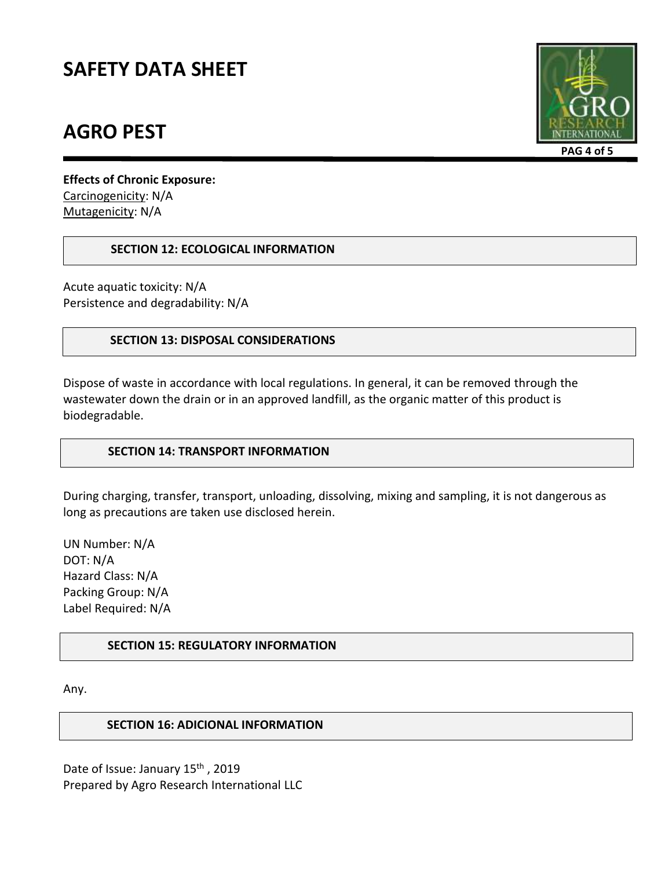## **AGRO PEST**



**Effects of Chronic Exposure:**  Carcinogenicity: N/A Mutagenicity: N/A

#### **SECTION 12: ECOLOGICAL INFORMATION**

Acute aquatic toxicity: N/A Persistence and degradability: N/A

#### **SECTION 13: DISPOSAL CONSIDERATIONS**

Dispose of waste in accordance with local regulations. In general, it can be removed through the wastewater down the drain or in an approved landfill, as the organic matter of this product is biodegradable.

## **SECTION 14: TRANSPORT INFORMATION**

During charging, transfer, transport, unloading, dissolving, mixing and sampling, it is not dangerous as long as precautions are taken use disclosed herein.

UN Number: N/A DOT: N/A Hazard Class: N/A Packing Group: N/A Label Required: N/A

## **SECTION 15: REGULATORY INFORMATION**

Any.

## **SECTION 16: ADICIONAL INFORMATION**

Date of Issue: January 15<sup>th</sup>, 2019 Prepared by Agro Research International LLC